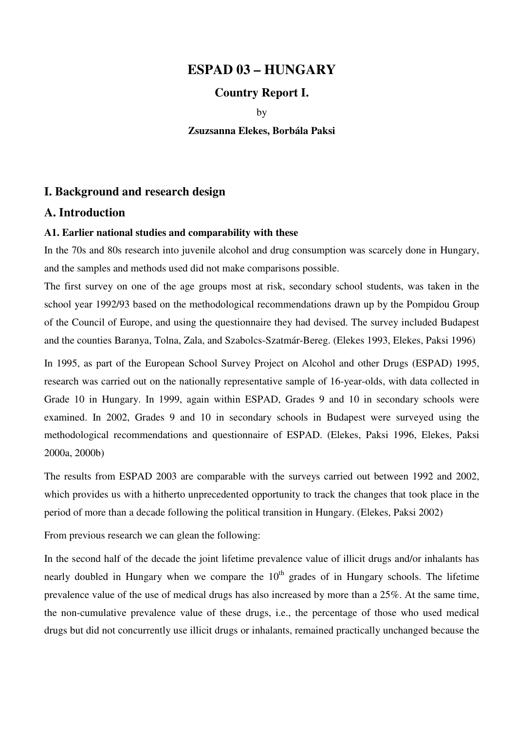## **ESPAD 03 – HUNGARY**

## **Country Report I.**

by

**Zsuzsanna Elekes, Borbála Paksi** 

## **I. Background and research design**

### **A. Introduction**

#### **A1. Earlier national studies and comparability with these**

In the 70s and 80s research into juvenile alcohol and drug consumption was scarcely done in Hungary, and the samples and methods used did not make comparisons possible.

The first survey on one of the age groups most at risk, secondary school students, was taken in the school year 1992/93 based on the methodological recommendations drawn up by the Pompidou Group of the Council of Europe, and using the questionnaire they had devised. The survey included Budapest and the counties Baranya, Tolna, Zala, and Szabolcs-Szatmár-Bereg. (Elekes 1993, Elekes, Paksi 1996)

In 1995, as part of the European School Survey Project on Alcohol and other Drugs (ESPAD) 1995, research was carried out on the nationally representative sample of 16-year-olds, with data collected in Grade 10 in Hungary. In 1999, again within ESPAD, Grades 9 and 10 in secondary schools were examined. In 2002, Grades 9 and 10 in secondary schools in Budapest were surveyed using the methodological recommendations and questionnaire of ESPAD. (Elekes, Paksi 1996, Elekes, Paksi 2000a, 2000b)

The results from ESPAD 2003 are comparable with the surveys carried out between 1992 and 2002, which provides us with a hitherto unprecedented opportunity to track the changes that took place in the period of more than a decade following the political transition in Hungary. (Elekes, Paksi 2002)

From previous research we can glean the following:

In the second half of the decade the joint lifetime prevalence value of illicit drugs and/or inhalants has nearly doubled in Hungary when we compare the  $10<sup>th</sup>$  grades of in Hungary schools. The lifetime prevalence value of the use of medical drugs has also increased by more than a 25%. At the same time, the non-cumulative prevalence value of these drugs, i.e., the percentage of those who used medical drugs but did not concurrently use illicit drugs or inhalants, remained practically unchanged because the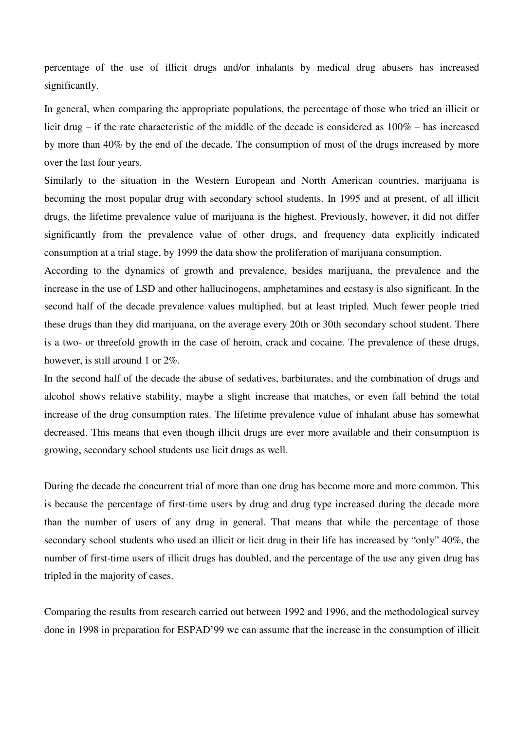percentage of the use of illicit drugs and/or inhalants by medical drug abusers has increased significantly.

In general, when comparing the appropriate populations, the percentage of those who tried an illicit or licit drug – if the rate characteristic of the middle of the decade is considered as 100% – has increased by more than 40% by the end of the decade. The consumption of most of the drugs increased by more over the last four years.

Similarly to the situation in the Western European and North American countries, marijuana is becoming the most popular drug with secondary school students. In 1995 and at present, of all illicit drugs, the lifetime prevalence value of marijuana is the highest. Previously, however, it did not differ significantly from the prevalence value of other drugs, and frequency data explicitly indicated consumption at a trial stage, by 1999 the data show the proliferation of marijuana consumption.

According to the dynamics of growth and prevalence, besides marijuana, the prevalence and the increase in the use of LSD and other hallucinogens, amphetamines and ecstasy is also significant. In the second half of the decade prevalence values multiplied, but at least tripled. Much fewer people tried these drugs than they did marijuana, on the average every 20th or 30th secondary school student. There is a two- or threefold growth in the case of heroin, crack and cocaine. The prevalence of these drugs, however, is still around 1 or 2%.

In the second half of the decade the abuse of sedatives, barbiturates, and the combination of drugs and alcohol shows relative stability, maybe a slight increase that matches, or even fall behind the total increase of the drug consumption rates. The lifetime prevalence value of inhalant abuse has somewhat decreased. This means that even though illicit drugs are ever more available and their consumption is growing, secondary school students use licit drugs as well.

During the decade the concurrent trial of more than one drug has become more and more common. This is because the percentage of first-time users by drug and drug type increased during the decade more than the number of users of any drug in general. That means that while the percentage of those secondary school students who used an illicit or licit drug in their life has increased by "only" 40%, the number of first-time users of illicit drugs has doubled, and the percentage of the use any given drug has tripled in the majority of cases.

Comparing the results from research carried out between 1992 and 1996, and the methodological survey done in 1998 in preparation for ESPAD'99 we can assume that the increase in the consumption of illicit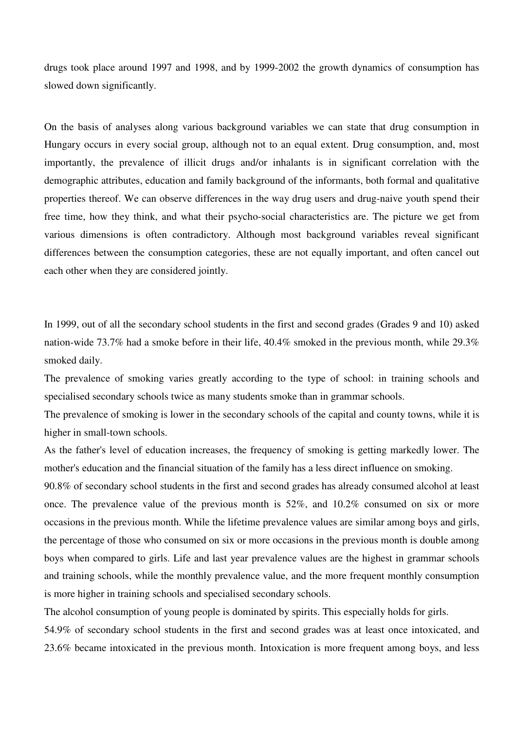drugs took place around 1997 and 1998, and by 1999-2002 the growth dynamics of consumption has slowed down significantly.

On the basis of analyses along various background variables we can state that drug consumption in Hungary occurs in every social group, although not to an equal extent. Drug consumption, and, most importantly, the prevalence of illicit drugs and/or inhalants is in significant correlation with the demographic attributes, education and family background of the informants, both formal and qualitative properties thereof. We can observe differences in the way drug users and drug-naive youth spend their free time, how they think, and what their psycho-social characteristics are. The picture we get from various dimensions is often contradictory. Although most background variables reveal significant differences between the consumption categories, these are not equally important, and often cancel out each other when they are considered jointly.

In 1999, out of all the secondary school students in the first and second grades (Grades 9 and 10) asked nation-wide 73.7% had a smoke before in their life, 40.4% smoked in the previous month, while 29.3% smoked daily.

The prevalence of smoking varies greatly according to the type of school: in training schools and specialised secondary schools twice as many students smoke than in grammar schools.

The prevalence of smoking is lower in the secondary schools of the capital and county towns, while it is higher in small-town schools.

As the father's level of education increases, the frequency of smoking is getting markedly lower. The mother's education and the financial situation of the family has a less direct influence on smoking.

90.8% of secondary school students in the first and second grades has already consumed alcohol at least once. The prevalence value of the previous month is 52%, and 10.2% consumed on six or more occasions in the previous month. While the lifetime prevalence values are similar among boys and girls, the percentage of those who consumed on six or more occasions in the previous month is double among boys when compared to girls. Life and last year prevalence values are the highest in grammar schools and training schools, while the monthly prevalence value, and the more frequent monthly consumption is more higher in training schools and specialised secondary schools.

The alcohol consumption of young people is dominated by spirits. This especially holds for girls.

54.9% of secondary school students in the first and second grades was at least once intoxicated, and 23.6% became intoxicated in the previous month. Intoxication is more frequent among boys, and less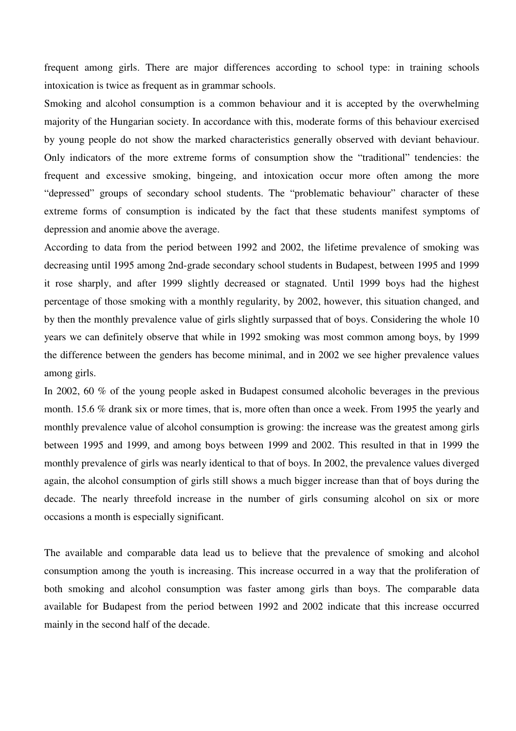frequent among girls. There are major differences according to school type: in training schools intoxication is twice as frequent as in grammar schools.

Smoking and alcohol consumption is a common behaviour and it is accepted by the overwhelming majority of the Hungarian society. In accordance with this, moderate forms of this behaviour exercised by young people do not show the marked characteristics generally observed with deviant behaviour. Only indicators of the more extreme forms of consumption show the "traditional" tendencies: the frequent and excessive smoking, bingeing, and intoxication occur more often among the more "depressed" groups of secondary school students. The "problematic behaviour" character of these extreme forms of consumption is indicated by the fact that these students manifest symptoms of depression and anomie above the average.

According to data from the period between 1992 and 2002, the lifetime prevalence of smoking was decreasing until 1995 among 2nd-grade secondary school students in Budapest, between 1995 and 1999 it rose sharply, and after 1999 slightly decreased or stagnated. Until 1999 boys had the highest percentage of those smoking with a monthly regularity, by 2002, however, this situation changed, and by then the monthly prevalence value of girls slightly surpassed that of boys. Considering the whole 10 years we can definitely observe that while in 1992 smoking was most common among boys, by 1999 the difference between the genders has become minimal, and in 2002 we see higher prevalence values among girls.

In 2002, 60 % of the young people asked in Budapest consumed alcoholic beverages in the previous month. 15.6 % drank six or more times, that is, more often than once a week. From 1995 the yearly and monthly prevalence value of alcohol consumption is growing: the increase was the greatest among girls between 1995 and 1999, and among boys between 1999 and 2002. This resulted in that in 1999 the monthly prevalence of girls was nearly identical to that of boys. In 2002, the prevalence values diverged again, the alcohol consumption of girls still shows a much bigger increase than that of boys during the decade. The nearly threefold increase in the number of girls consuming alcohol on six or more occasions a month is especially significant.

The available and comparable data lead us to believe that the prevalence of smoking and alcohol consumption among the youth is increasing. This increase occurred in a way that the proliferation of both smoking and alcohol consumption was faster among girls than boys. The comparable data available for Budapest from the period between 1992 and 2002 indicate that this increase occurred mainly in the second half of the decade.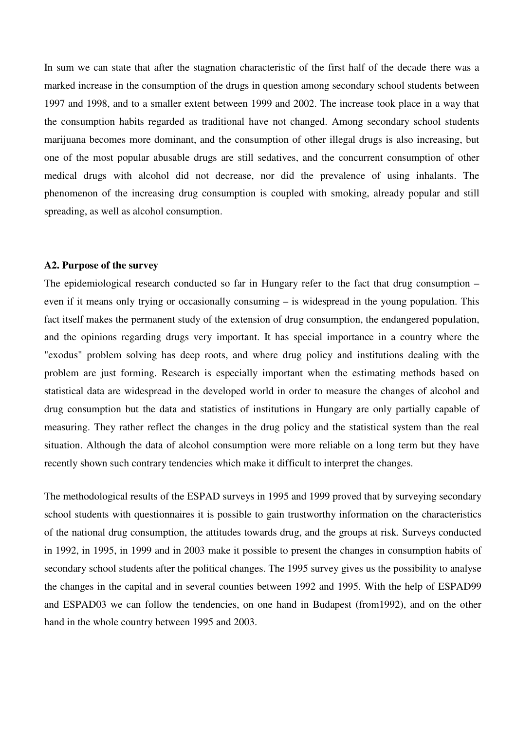In sum we can state that after the stagnation characteristic of the first half of the decade there was a marked increase in the consumption of the drugs in question among secondary school students between 1997 and 1998, and to a smaller extent between 1999 and 2002. The increase took place in a way that the consumption habits regarded as traditional have not changed. Among secondary school students marijuana becomes more dominant, and the consumption of other illegal drugs is also increasing, but one of the most popular abusable drugs are still sedatives, and the concurrent consumption of other medical drugs with alcohol did not decrease, nor did the prevalence of using inhalants. The phenomenon of the increasing drug consumption is coupled with smoking, already popular and still spreading, as well as alcohol consumption.

#### **A2. Purpose of the survey**

The epidemiological research conducted so far in Hungary refer to the fact that drug consumption – even if it means only trying or occasionally consuming – is widespread in the young population. This fact itself makes the permanent study of the extension of drug consumption, the endangered population, and the opinions regarding drugs very important. It has special importance in a country where the "exodus" problem solving has deep roots, and where drug policy and institutions dealing with the problem are just forming. Research is especially important when the estimating methods based on statistical data are widespread in the developed world in order to measure the changes of alcohol and drug consumption but the data and statistics of institutions in Hungary are only partially capable of measuring. They rather reflect the changes in the drug policy and the statistical system than the real situation. Although the data of alcohol consumption were more reliable on a long term but they have recently shown such contrary tendencies which make it difficult to interpret the changes.

The methodological results of the ESPAD surveys in 1995 and 1999 proved that by surveying secondary school students with questionnaires it is possible to gain trustworthy information on the characteristics of the national drug consumption, the attitudes towards drug, and the groups at risk. Surveys conducted in 1992, in 1995, in 1999 and in 2003 make it possible to present the changes in consumption habits of secondary school students after the political changes. The 1995 survey gives us the possibility to analyse the changes in the capital and in several counties between 1992 and 1995. With the help of ESPAD99 and ESPAD03 we can follow the tendencies, on one hand in Budapest (from1992), and on the other hand in the whole country between 1995 and 2003.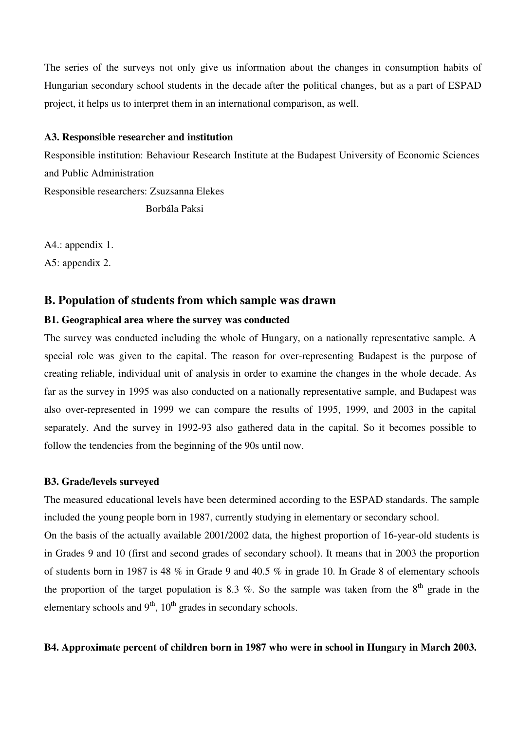The series of the surveys not only give us information about the changes in consumption habits of Hungarian secondary school students in the decade after the political changes, but as a part of ESPAD project, it helps us to interpret them in an international comparison, as well.

#### **A3. Responsible researcher and institution**

Responsible institution: Behaviour Research Institute at the Budapest University of Economic Sciences and Public Administration

Responsible researchers: Zsuzsanna Elekes

Borbála Paksi

A4.: appendix 1. A5: appendix 2.

## **B. Population of students from which sample was drawn**

## **B1. Geographical area where the survey was conducted**

The survey was conducted including the whole of Hungary, on a nationally representative sample. A special role was given to the capital. The reason for over-representing Budapest is the purpose of creating reliable, individual unit of analysis in order to examine the changes in the whole decade. As far as the survey in 1995 was also conducted on a nationally representative sample, and Budapest was also over-represented in 1999 we can compare the results of 1995, 1999, and 2003 in the capital separately. And the survey in 1992-93 also gathered data in the capital. So it becomes possible to follow the tendencies from the beginning of the 90s until now.

#### **B3. Grade/levels surveyed**

The measured educational levels have been determined according to the ESPAD standards. The sample included the young people born in 1987, currently studying in elementary or secondary school.

On the basis of the actually available 2001/2002 data, the highest proportion of 16-year-old students is in Grades 9 and 10 (first and second grades of secondary school). It means that in 2003 the proportion of students born in 1987 is 48 % in Grade 9 and 40.5 % in grade 10. In Grade 8 of elementary schools the proportion of the target population is 8.3 %. So the sample was taken from the  $8<sup>th</sup>$  grade in the elementary schools and  $9<sup>th</sup>$ ,  $10<sup>th</sup>$  grades in secondary schools.

#### **B4. Approximate percent of children born in 1987 who were in school in Hungary in March 2003.**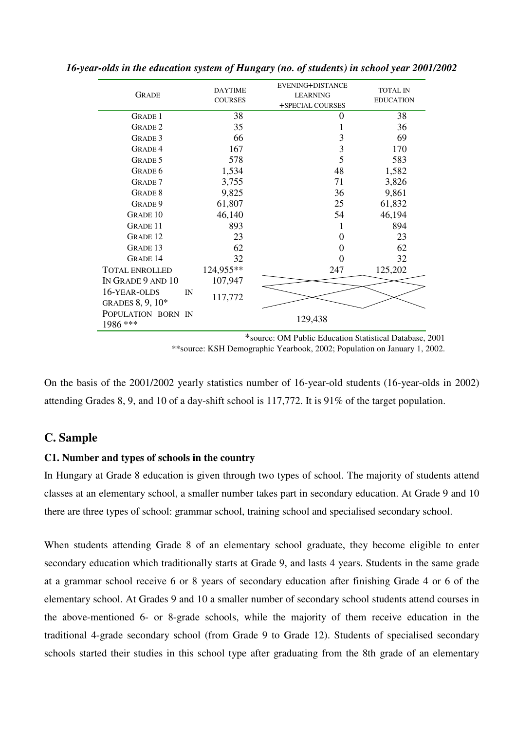| <b>GRADE</b>                           | <b>DAYTIME</b><br><b>COURSES</b> | EVENING+DISTANCE<br><b>LEARNING</b><br>+SPECIAL COURSES | <b>TOTAL IN</b><br><b>EDUCATION</b> |
|----------------------------------------|----------------------------------|---------------------------------------------------------|-------------------------------------|
| <b>GRADE 1</b>                         | 38                               | 0                                                       | 38                                  |
| <b>GRADE 2</b>                         | 35                               | 1                                                       | 36                                  |
| <b>GRADE 3</b>                         | 66                               | 3                                                       | 69                                  |
| <b>GRADE 4</b>                         | 167                              | 3                                                       | 170                                 |
| <b>GRADE 5</b>                         | 578                              | 5                                                       | 583                                 |
| GRADE 6                                | 1,534                            | 48                                                      | 1,582                               |
| <b>GRADE</b> 7                         | 3,755                            | 71                                                      | 3,826                               |
| <b>GRADE 8</b>                         | 9,825                            | 36                                                      | 9,861                               |
| GRADE 9                                | 61,807                           | 25                                                      | 61,832                              |
| <b>GRADE 10</b>                        | 46,140                           | 54                                                      | 46,194                              |
| <b>GRADE 11</b>                        | 893                              | 1                                                       | 894                                 |
| <b>GRADE 12</b>                        | 23                               | $\Omega$                                                | 23                                  |
| <b>GRADE 13</b>                        | 62                               | 0                                                       | 62                                  |
| <b>GRADE 14</b>                        | 32                               | 0                                                       | 32                                  |
| <b>TOTAL ENROLLED</b>                  | 124,955**                        | 247                                                     | 125,202                             |
| IN GRADE 9 AND 10                      | 107,947                          |                                                         |                                     |
| 16-YEAR-OLDS<br>IN<br>GRADES 8, 9, 10* | 117,772                          |                                                         |                                     |
| POPULATION BORN IN<br>1986 ***         |                                  | 129,438                                                 |                                     |

*16-year-olds in the education system of Hungary (no. of students) in school year 2001/2002* 

\*source: OM Public Education Statistical Database, 2001 \*\*source: KSH Demographic Yearbook, 2002; Population on January 1, 2002.

On the basis of the 2001/2002 yearly statistics number of 16-year-old students (16-year-olds in 2002) attending Grades 8, 9, and 10 of a day-shift school is 117,772. It is 91% of the target population.

## **C. Sample**

## **C1. Number and types of schools in the country**

In Hungary at Grade 8 education is given through two types of school. The majority of students attend classes at an elementary school, a smaller number takes part in secondary education. At Grade 9 and 10 there are three types of school: grammar school, training school and specialised secondary school.

When students attending Grade 8 of an elementary school graduate, they become eligible to enter secondary education which traditionally starts at Grade 9, and lasts 4 years. Students in the same grade at a grammar school receive 6 or 8 years of secondary education after finishing Grade 4 or 6 of the elementary school. At Grades 9 and 10 a smaller number of secondary school students attend courses in the above-mentioned 6- or 8-grade schools, while the majority of them receive education in the traditional 4-grade secondary school (from Grade 9 to Grade 12). Students of specialised secondary schools started their studies in this school type after graduating from the 8th grade of an elementary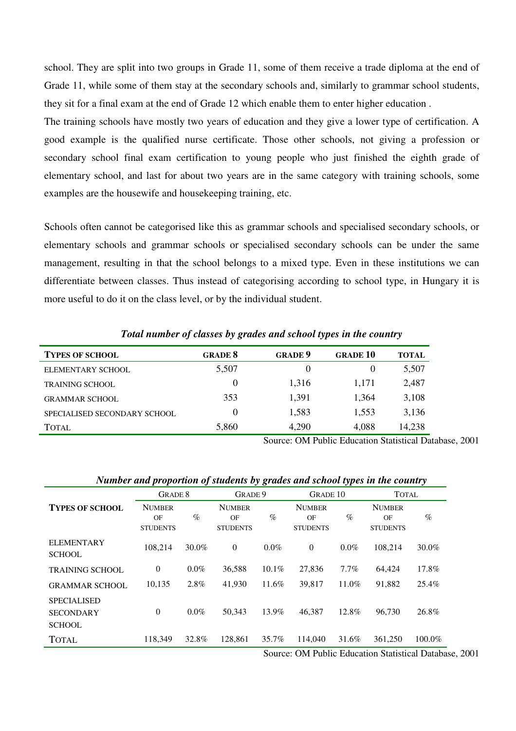school. They are split into two groups in Grade 11, some of them receive a trade diploma at the end of Grade 11, while some of them stay at the secondary schools and, similarly to grammar school students, they sit for a final exam at the end of Grade 12 which enable them to enter higher education .

The training schools have mostly two years of education and they give a lower type of certification. A good example is the qualified nurse certificate. Those other schools, not giving a profession or secondary school final exam certification to young people who just finished the eighth grade of elementary school, and last for about two years are in the same category with training schools, some examples are the housewife and housekeeping training, etc.

Schools often cannot be categorised like this as grammar schools and specialised secondary schools, or elementary schools and grammar schools or specialised secondary schools can be under the same management, resulting in that the school belongs to a mixed type. Even in these institutions we can differentiate between classes. Thus instead of categorising according to school type, in Hungary it is more useful to do it on the class level, or by the individual student.

| <b>TYPES OF SCHOOL</b>       | <b>GRADE 8</b> | <b>GRADE 9</b> | <b>GRADE 10</b> | <b>TOTAL</b> |  |  |
|------------------------------|----------------|----------------|-----------------|--------------|--|--|
| ELEMENTARY SCHOOL            | 5,507          |                | $\theta$        | 5,507        |  |  |
| <b>TRAINING SCHOOL</b>       | $\theta$       | 1.316          | 1,171           | 2,487        |  |  |
| <b>GRAMMAR SCHOOL</b>        | 353            | 1,391          | 1,364           | 3,108        |  |  |
| SPECIALISED SECONDARY SCHOOL | $_{0}$         | 1,583          | 1,553           | 3,136        |  |  |
| TOTAL                        | 5,860          | 4,290          | 4,088           | 14,238       |  |  |

*Total number of classes by grades and school types in the country* 

Source: OM Public Education Statistical Database, 2001

#### *Number and proportion of students by grades and school types in the country*

|                                                         |                                        | <b>GRADE 8</b> |                                        | GRADE 9  |                                        | <b>GRADE 10</b> |                                        | <b>TOTAL</b> |
|---------------------------------------------------------|----------------------------------------|----------------|----------------------------------------|----------|----------------------------------------|-----------------|----------------------------------------|--------------|
| <b>TYPES OF SCHOOL</b>                                  | <b>NUMBER</b><br>OF<br><b>STUDENTS</b> | $\%$           | <b>NUMBER</b><br>OF<br><b>STUDENTS</b> | $\%$     | <b>NUMBER</b><br>OF<br><b>STUDENTS</b> | $\%$            | <b>NUMBER</b><br>OF<br><b>STUDENTS</b> | $\%$         |
| <b>ELEMENTARY</b><br><b>SCHOOL</b>                      | 108,214                                | $30.0\%$       | $\Omega$                               | $0.0\%$  | $\theta$                               | $0.0\%$         | 108.214                                | 30.0%        |
| <b>TRAINING SCHOOL</b>                                  | $\theta$                               | $0.0\%$        | 36,588                                 | $10.1\%$ | 27,836                                 | $7.7\%$         | 64.424                                 | 17.8%        |
| <b>GRAMMAR SCHOOL</b>                                   | 10,135                                 | 2.8%           | 41,930                                 | 11.6%    | 39,817                                 | 11.0%           | 91,882                                 | 25.4%        |
| <b>SPECIALISED</b><br><b>SECONDARY</b><br><b>SCHOOL</b> | $\theta$                               | $0.0\%$        | 50,343                                 | 13.9%    | 46.387                                 | 12.8%           | 96.730                                 | 26.8%        |
| <b>TOTAL</b>                                            | 118.349                                | 32.8%          | 128,861                                | 35.7%    | 114,040                                | 31.6%           | 361,250                                | 100.0%       |

Source: OM Public Education Statistical Database, 2001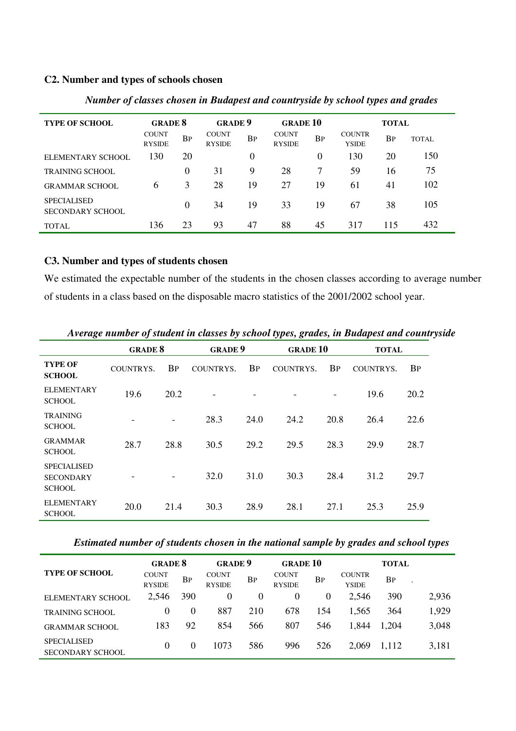## **C2. Number and types of schools chosen**

| <b>TYPE OF SCHOOL</b>                         | <b>GRADE 8</b>                |           | <b>GRADE 9</b>                |           | <b>GRADE 10</b>               |           |                               | <b>TOTAL</b> |       |
|-----------------------------------------------|-------------------------------|-----------|-------------------------------|-----------|-------------------------------|-----------|-------------------------------|--------------|-------|
|                                               | <b>COUNT</b><br><b>RYSIDE</b> | <b>BP</b> | <b>COUNT</b><br><b>RYSIDE</b> | <b>BP</b> | <b>COUNT</b><br><b>RYSIDE</b> | <b>BP</b> | <b>COUNTR</b><br><b>YSIDE</b> | <b>BP</b>    | TOTAL |
| ELEMENTARY SCHOOL                             | 130                           | 20        |                               | 0         |                               | 0         | 130                           | 20           | 150   |
| <b>TRAINING SCHOOL</b>                        |                               | 0         | 31                            | 9         | 28                            | 7         | 59                            | 16           | 75    |
| <b>GRAMMAR SCHOOL</b>                         | 6                             | 3         | 28                            | 19        | 27                            | 19        | 61                            | 41           | 102   |
| <b>SPECIALISED</b><br><b>SECONDARY SCHOOL</b> |                               | 0         | 34                            | 19        | 33                            | 19        | 67                            | 38           | 105   |
| <b>TOTAL</b>                                  | 136                           | 23        | 93                            | 47        | 88                            | 45        | 317                           | 115          | 432   |

*Number of classes chosen in Budapest and countryside by school types and grades* 

## **C3. Number and types of students chosen**

We estimated the expectable number of the students in the chosen classes according to average number of students in a class based on the disposable macro statistics of the 2001/2002 school year.

|                                                         | <b>GRADE 8</b> |           | <b>GRADE 9</b> |           | <b>GRADE 10</b> |           | <b>TOTAL</b>     |           |
|---------------------------------------------------------|----------------|-----------|----------------|-----------|-----------------|-----------|------------------|-----------|
| <b>TYPE OF</b><br><b>SCHOOL</b>                         | COUNTRYS.      | <b>BP</b> | COUNTRYS.      | <b>BP</b> | COUNTRYS.       | <b>BP</b> | <b>COUNTRYS.</b> | <b>BP</b> |
| <b>ELEMENTARY</b><br><b>SCHOOL</b>                      | 19.6           | 20.2      | $\overline{a}$ |           |                 | -         | 19.6             | 20.2      |
| <b>TRAINING</b><br><b>SCHOOL</b>                        | -              | -         | 28.3           | 24.0      | 24.2            | 20.8      | 26.4             | 22.6      |
| <b>GRAMMAR</b><br><b>SCHOOL</b>                         | 28.7           | 28.8      | 30.5           | 29.2      | 29.5            | 28.3      | 29.9             | 28.7      |
| <b>SPECIALISED</b><br><b>SECONDARY</b><br><b>SCHOOL</b> |                | -         | 32.0           | 31.0      | 30.3            | 28.4      | 31.2             | 29.7      |
| <b>ELEMENTARY</b><br><b>SCHOOL</b>                      | 20.0           | 21.4      | 30.3           | 28.9      | 28.1            | 27.1      | 25.3             | 25.9      |

*Average number of student in classes by school types, grades, in Budapest and countryside*

*Estimated number of students chosen in the national sample by grades and school types* 

|                                               | <b>GRADE 8</b>                |          | <b>GRADE 9</b>                |                | <b>GRADE 10</b>               |          |                               | TOTAL     |       |
|-----------------------------------------------|-------------------------------|----------|-------------------------------|----------------|-------------------------------|----------|-------------------------------|-----------|-------|
| <b>TYPE OF SCHOOL</b>                         | <b>COUNT</b><br><b>RYSIDE</b> | BP       | <b>COUNT</b><br><b>RYSIDE</b> | <b>BP</b>      | <b>COUNT</b><br><b>RYSIDE</b> | BP       | <b>COUNTR</b><br><b>YSIDE</b> | <b>BP</b> |       |
| ELEMENTARY SCHOOL                             | 2,546                         | 390      | 0                             | $\overline{0}$ | $\overline{0}$                | $\theta$ | 2,546                         | 390       | 2,936 |
| <b>TRAINING SCHOOL</b>                        | $\Omega$                      | 0        | 887                           | 210            | 678                           | 154      | 1,565                         | 364       | 1,929 |
| <b>GRAMMAR SCHOOL</b>                         | 183                           | 92       | 854                           | 566            | 807                           | 546      | 1,844                         | 1,204     | 3,048 |
| <b>SPECIALISED</b><br><b>SECONDARY SCHOOL</b> | 0                             | $\theta$ | 1073                          | 586            | 996                           | 526      | 2,069                         | 1.112     | 3,181 |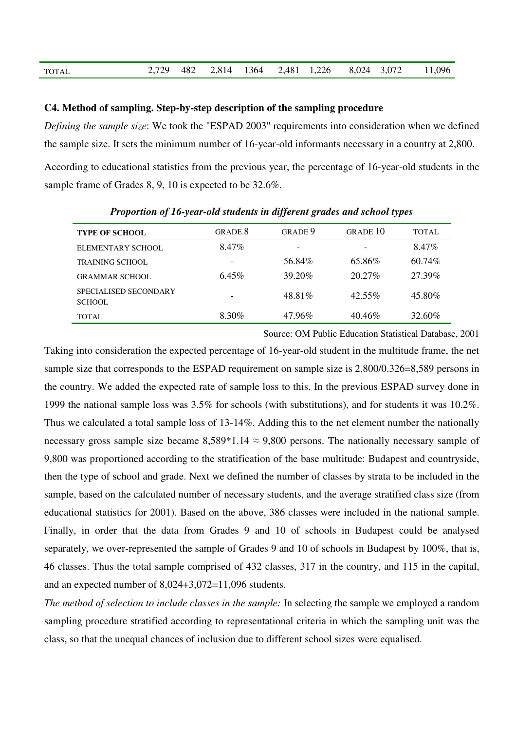| <b>TOTAL</b> |  |  |  |  |  |  |  |  | 2,729 482 2,814 1364 2,481 1,226 8,024 3,072 11,096 |
|--------------|--|--|--|--|--|--|--|--|-----------------------------------------------------|
|--------------|--|--|--|--|--|--|--|--|-----------------------------------------------------|

#### **C4. Method of sampling. Step-by-step description of the sampling procedure**

*Defining the sample size*: We took the "ESPAD 2003" requirements into consideration when we defined the sample size. It sets the minimum number of 16-year-old informants necessary in a country at 2,800. According to educational statistics from the previous year, the percentage of 16-year-old students in the sample frame of Grades 8, 9, 10 is expected to be 32.6%.

| <b>TYPE OF SCHOOL</b>                  | GRADE 8  | GRADE 9                  | GRADE 10  | TOTAL  |
|----------------------------------------|----------|--------------------------|-----------|--------|
| ELEMENTARY SCHOOL                      | 8.47%    | $\overline{\phantom{a}}$ |           | 8.47%  |
| <b>TRAINING SCHOOL</b>                 | -        | 56.84%                   | 65.86%    | 60.74% |
| <b>GRAMMAR SCHOOL</b>                  | $6.45\%$ | 39.20%                   | $20.27\%$ | 27.39% |
| SPECIALISED SECONDARY<br><b>SCHOOL</b> |          | 48.81%                   | $42.55\%$ | 45.80% |
| TOTAL.                                 | 8.30%    | 47.96%                   | 40.46%    | 32.60% |

*Proportion of 16-year-old students in different grades and school types* 

Source: OM Public Education Statistical Database, 2001

Taking into consideration the expected percentage of 16-year-old student in the multitude frame, the net sample size that corresponds to the ESPAD requirement on sample size is 2,800/0.326=8,589 persons in the country. We added the expected rate of sample loss to this. In the previous ESPAD survey done in 1999 the national sample loss was 3.5% for schools (with substitutions), and for students it was 10.2%. Thus we calculated a total sample loss of 13-14%. Adding this to the net element number the nationally necessary gross sample size became  $8,589*1.14 \approx 9,800$  persons. The nationally necessary sample of 9,800 was proportioned according to the stratification of the base multitude: Budapest and countryside, then the type of school and grade. Next we defined the number of classes by strata to be included in the sample, based on the calculated number of necessary students, and the average stratified class size (from educational statistics for 2001). Based on the above, 386 classes were included in the national sample. Finally, in order that the data from Grades 9 and 10 of schools in Budapest could be analysed separately, we over-represented the sample of Grades 9 and 10 of schools in Budapest by 100%, that is, 46 classes. Thus the total sample comprised of 432 classes, 317 in the country, and 115 in the capital, and an expected number of 8,024+3,072=11,096 students.

*The method of selection to include classes in the sample:* In selecting the sample we employed a random sampling procedure stratified according to representational criteria in which the sampling unit was the class, so that the unequal chances of inclusion due to different school sizes were equalised.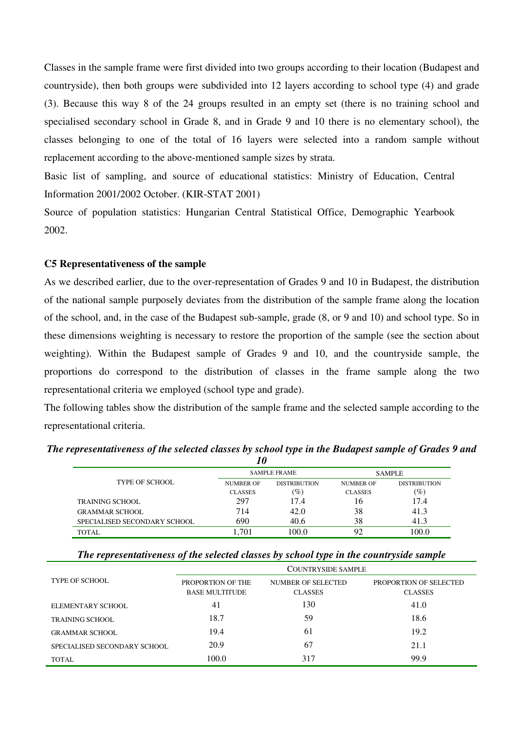Classes in the sample frame were first divided into two groups according to their location (Budapest and countryside), then both groups were subdivided into 12 layers according to school type (4) and grade (3). Because this way 8 of the 24 groups resulted in an empty set (there is no training school and specialised secondary school in Grade 8, and in Grade 9 and 10 there is no elementary school), the classes belonging to one of the total of 16 layers were selected into a random sample without replacement according to the above-mentioned sample sizes by strata.

Basic list of sampling, and source of educational statistics: Ministry of Education, Central Information 2001/2002 October. (KIR-STAT 2001)

Source of population statistics: Hungarian Central Statistical Office, Demographic Yearbook 2002.

## **C5 Representativeness of the sample**

As we described earlier, due to the over-representation of Grades 9 and 10 in Budapest, the distribution of the national sample purposely deviates from the distribution of the sample frame along the location of the school, and, in the case of the Budapest sub-sample, grade (8, or 9 and 10) and school type. So in these dimensions weighting is necessary to restore the proportion of the sample (see the section about weighting). Within the Budapest sample of Grades 9 and 10, and the countryside sample, the proportions do correspond to the distribution of classes in the frame sample along the two representational criteria we employed (school type and grade).

The following tables show the distribution of the sample frame and the selected sample according to the representational criteria.

|                              | '0               |                     |                  |                     |  |
|------------------------------|------------------|---------------------|------------------|---------------------|--|
|                              |                  | <b>SAMPLE FRAME</b> | <b>SAMPLE</b>    |                     |  |
| <b>TYPE OF SCHOOL</b>        | <b>NUMBER OF</b> | <b>DISTRIBUTION</b> | <b>NUMBER OF</b> | <b>DISTRIBUTION</b> |  |
|                              | <b>CLASSES</b>   | $(\%)$              | <b>CLASSES</b>   | $(\%)$              |  |
| TRAINING SCHOOL              | 297              | 17.4                | 16               | 17.4                |  |
| <b>GRAMMAR SCHOOL</b>        | 714              | 42.0                | 38               | 41.3                |  |
| SPECIALISED SECONDARY SCHOOL | 690              | 40.6                | 38               | 41.3                |  |
| <b>TOTAL</b>                 | .701             | 100.0               | 92               | 0.001               |  |

*The representativeness of the selected classes by school type in the Budapest sample of Grades 9 and* 

| The representativeness of the selected classes by school type in the countryside sample |  |  |  |  |
|-----------------------------------------------------------------------------------------|--|--|--|--|
|-----------------------------------------------------------------------------------------|--|--|--|--|

|                              | COUNTRYSIDE SAMPLE    |                    |                        |  |  |  |  |
|------------------------------|-----------------------|--------------------|------------------------|--|--|--|--|
| <b>TYPE OF SCHOOL</b>        | PROPORTION OF THE     | NUMBER OF SELECTED | PROPORTION OF SELECTED |  |  |  |  |
|                              | <b>BASE MULTITUDE</b> | <b>CLASSES</b>     | <b>CLASSES</b>         |  |  |  |  |
| ELEMENTARY SCHOOL            | 41                    | 130                | 41.0                   |  |  |  |  |
| <b>TRAINING SCHOOL</b>       | 18.7                  | 59                 | 18.6                   |  |  |  |  |
| <b>GRAMMAR SCHOOL</b>        | 19.4                  | 61                 | 19.2                   |  |  |  |  |
| SPECIALISED SECONDARY SCHOOL | 20.9                  | 67                 | 21.1                   |  |  |  |  |
| TOTAL                        | 100.0                 | 317                | 99.9                   |  |  |  |  |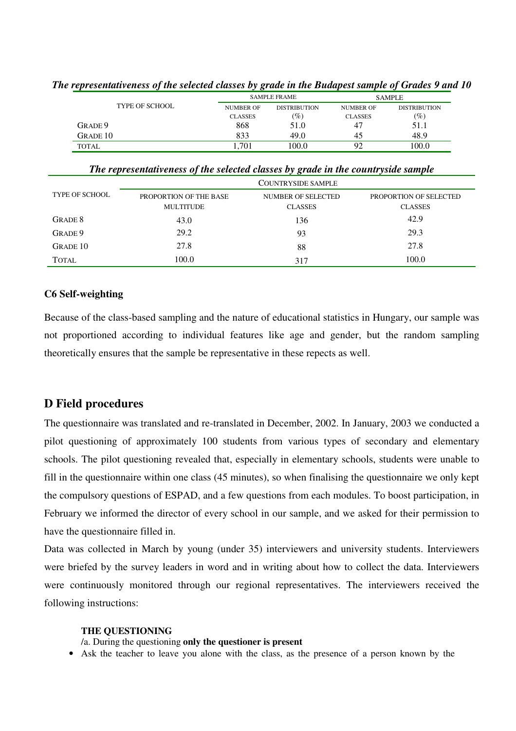|                       | ັັ               |                     |                  | $\cdot$             |  |
|-----------------------|------------------|---------------------|------------------|---------------------|--|
|                       |                  | <b>SAMPLE FRAME</b> | <b>SAMPLE</b>    |                     |  |
| <b>TYPE OF SCHOOL</b> | <b>NUMBER OF</b> | <b>DISTRIBUTION</b> | <b>NUMBER OF</b> | <b>DISTRIBUTION</b> |  |
|                       | <b>CLASSES</b>   | $\left( \% \right)$ | <b>CLASSES</b>   | $(\%)$              |  |
| GRADE 9               | 868              | 51.0                | 47               | 51.1                |  |
| <b>GRADE 10</b>       | 833              | 49.0                | 45               | 48.9                |  |
| <b>TOTAL</b>          | .701             | 100.0               | 92               | 100.0               |  |

#### *The representativeness of the selected classes by grade in the Budapest sample of Grades 9 and 10*

*The representativeness of the selected classes by grade in the countryside sample* 

|                       | <b>COUNTRYSIDE SAMPLE</b>                  |                                      |                                          |  |  |  |
|-----------------------|--------------------------------------------|--------------------------------------|------------------------------------------|--|--|--|
| <b>TYPE OF SCHOOL</b> | PROPORTION OF THE BASE<br><b>MULTITUDE</b> | NUMBER OF SELECTED<br><b>CLASSES</b> | PROPORTION OF SELECTED<br><b>CLASSES</b> |  |  |  |
| GRADE 8               | 43.0                                       | 136                                  | 42.9                                     |  |  |  |
| GRADE 9               | 29.2                                       | 93                                   | 29.3                                     |  |  |  |
| <b>GRADE 10</b>       | 27.8                                       | 88                                   | 27.8                                     |  |  |  |
| <b>TOTAL</b>          | 100.0                                      | 317                                  | 100.0                                    |  |  |  |

## **C6 Self-weighting**

Because of the class-based sampling and the nature of educational statistics in Hungary, our sample was not proportioned according to individual features like age and gender, but the random sampling theoretically ensures that the sample be representative in these repects as well.

## **D Field procedures**

The questionnaire was translated and re-translated in December, 2002. In January, 2003 we conducted a pilot questioning of approximately 100 students from various types of secondary and elementary schools. The pilot questioning revealed that, especially in elementary schools, students were unable to fill in the questionnaire within one class (45 minutes), so when finalising the questionnaire we only kept the compulsory questions of ESPAD, and a few questions from each modules. To boost participation, in February we informed the director of every school in our sample, and we asked for their permission to have the questionnaire filled in.

Data was collected in March by young (under 35) interviewers and university students. Interviewers were briefed by the survey leaders in word and in writing about how to collect the data. Interviewers were continuously monitored through our regional representatives. The interviewers received the following instructions:

#### **THE QUESTIONING**

#### /a. During the questioning **only the questioner is present**

• Ask the teacher to leave you alone with the class, as the presence of a person known by the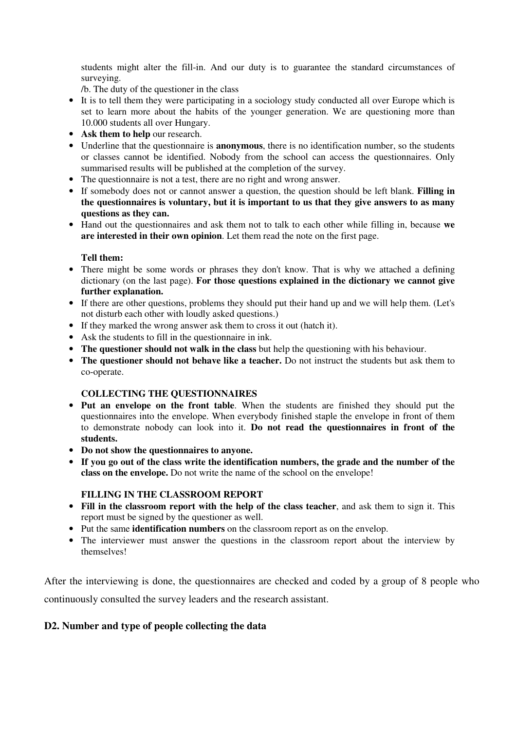students might alter the fill-in. And our duty is to guarantee the standard circumstances of surveying.

/b. The duty of the questioner in the class

- It is to tell them they were participating in a sociology study conducted all over Europe which is set to learn more about the habits of the younger generation. We are questioning more than 10.000 students all over Hungary.
- **Ask them to help** our research.
- Underline that the questionnaire is **anonymous**, there is no identification number, so the students or classes cannot be identified. Nobody from the school can access the questionnaires. Only summarised results will be published at the completion of the survey.
- The questionnaire is not a test, there are no right and wrong answer.
- If somebody does not or cannot answer a question, the question should be left blank. **Filling in the questionnaires is voluntary, but it is important to us that they give answers to as many questions as they can.**
- Hand out the questionnaires and ask them not to talk to each other while filling in, because **we are interested in their own opinion**. Let them read the note on the first page.

## **Tell them:**

- There might be some words or phrases they don't know. That is why we attached a defining dictionary (on the last page). **For those questions explained in the dictionary we cannot give further explanation.**
- If there are other questions, problems they should put their hand up and we will help them. (Let's not disturb each other with loudly asked questions.)
- If they marked the wrong answer ask them to cross it out (hatch it).
- Ask the students to fill in the questionnaire in ink.
- **The questioner should not walk in the class** but help the questioning with his behaviour.
- **The questioner should not behave like a teacher.** Do not instruct the students but ask them to co-operate.

## **COLLECTING THE QUESTIONNAIRES**

- **Put an envelope on the front table**. When the students are finished they should put the questionnaires into the envelope. When everybody finished staple the envelope in front of them to demonstrate nobody can look into it. **Do not read the questionnaires in front of the students.**
- **Do not show the questionnaires to anyone.**
- **If you go out of the class write the identification numbers, the grade and the number of the class on the envelope.** Do not write the name of the school on the envelope!

## **FILLING IN THE CLASSROOM REPORT**

- **Fill in the classroom report with the help of the class teacher**, and ask them to sign it. This report must be signed by the questioner as well.
- Put the same **identification numbers** on the classroom report as on the envelop.
- The interviewer must answer the questions in the classroom report about the interview by themselves!

After the interviewing is done, the questionnaires are checked and coded by a group of 8 people who continuously consulted the survey leaders and the research assistant.

## **D2. Number and type of people collecting the data**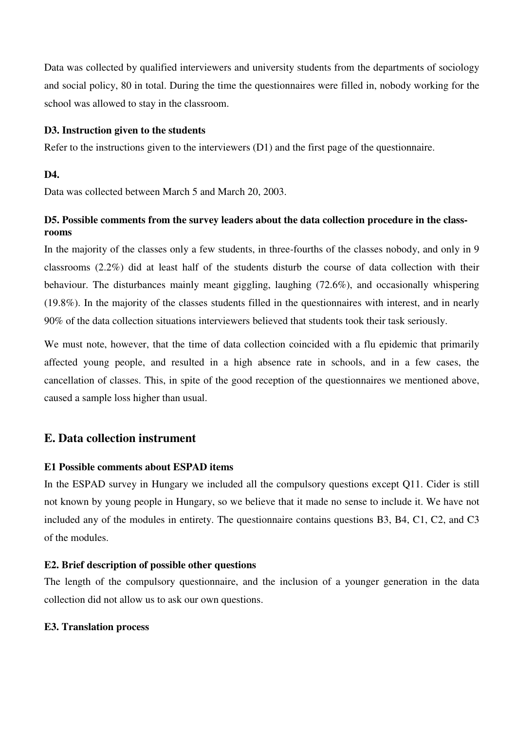Data was collected by qualified interviewers and university students from the departments of sociology and social policy, 80 in total. During the time the questionnaires were filled in, nobody working for the school was allowed to stay in the classroom.

#### **D3. Instruction given to the students**

Refer to the instructions given to the interviewers (D1) and the first page of the questionnaire.

#### **D4.**

Data was collected between March 5 and March 20, 2003.

## **D5. Possible comments from the survey leaders about the data collection procedure in the classrooms**

In the majority of the classes only a few students, in three-fourths of the classes nobody, and only in 9 classrooms (2.2%) did at least half of the students disturb the course of data collection with their behaviour. The disturbances mainly meant giggling, laughing (72.6%), and occasionally whispering (19.8%). In the majority of the classes students filled in the questionnaires with interest, and in nearly 90% of the data collection situations interviewers believed that students took their task seriously.

We must note, however, that the time of data collection coincided with a flu epidemic that primarily affected young people, and resulted in a high absence rate in schools, and in a few cases, the cancellation of classes. This, in spite of the good reception of the questionnaires we mentioned above, caused a sample loss higher than usual.

## **E. Data collection instrument**

#### **E1 Possible comments about ESPAD items**

In the ESPAD survey in Hungary we included all the compulsory questions except Q11. Cider is still not known by young people in Hungary, so we believe that it made no sense to include it. We have not included any of the modules in entirety. The questionnaire contains questions B3, B4, C1, C2, and C3 of the modules.

#### **E2. Brief description of possible other questions**

The length of the compulsory questionnaire, and the inclusion of a younger generation in the data collection did not allow us to ask our own questions.

#### **E3. Translation process**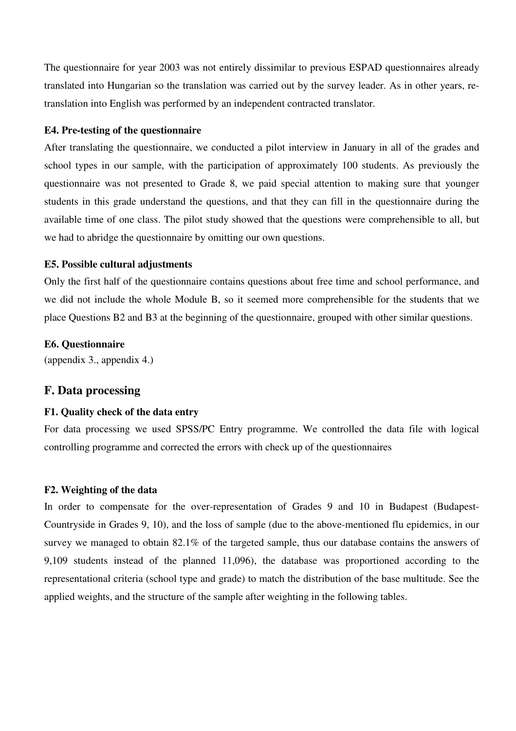The questionnaire for year 2003 was not entirely dissimilar to previous ESPAD questionnaires already translated into Hungarian so the translation was carried out by the survey leader. As in other years, retranslation into English was performed by an independent contracted translator.

### **E4. Pre-testing of the questionnaire**

After translating the questionnaire, we conducted a pilot interview in January in all of the grades and school types in our sample, with the participation of approximately 100 students. As previously the questionnaire was not presented to Grade 8, we paid special attention to making sure that younger students in this grade understand the questions, and that they can fill in the questionnaire during the available time of one class. The pilot study showed that the questions were comprehensible to all, but we had to abridge the questionnaire by omitting our own questions.

#### **E5. Possible cultural adjustments**

Only the first half of the questionnaire contains questions about free time and school performance, and we did not include the whole Module B, so it seemed more comprehensible for the students that we place Questions B2 and B3 at the beginning of the questionnaire, grouped with other similar questions.

#### **E6. Questionnaire**

(appendix 3., appendix 4.)

#### **F. Data processing**

#### **F1. Quality check of the data entry**

For data processing we used SPSS/PC Entry programme. We controlled the data file with logical controlling programme and corrected the errors with check up of the questionnaires

#### **F2. Weighting of the data**

In order to compensate for the over-representation of Grades 9 and 10 in Budapest (Budapest-Countryside in Grades 9, 10), and the loss of sample (due to the above-mentioned flu epidemics, in our survey we managed to obtain 82.1% of the targeted sample, thus our database contains the answers of 9,109 students instead of the planned 11,096), the database was proportioned according to the representational criteria (school type and grade) to match the distribution of the base multitude. See the applied weights, and the structure of the sample after weighting in the following tables.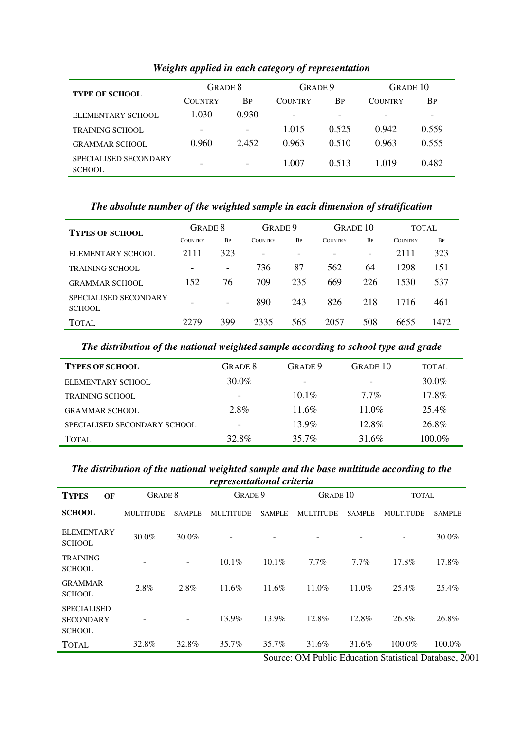| <b>TYPE OF SCHOOL</b>                  | GRADE 8                  |                          | GRADE 9                  |           | GRADE 10       |           |
|----------------------------------------|--------------------------|--------------------------|--------------------------|-----------|----------------|-----------|
|                                        | <b>COUNTRY</b>           | <b>BP</b>                | <b>COUNTRY</b>           | <b>BP</b> | <b>COUNTRY</b> | <b>BP</b> |
| ELEMENTARY SCHOOL                      | 1.030                    | 0.930                    | $\overline{\phantom{a}}$ | -         | -              | -         |
| <b>TRAINING SCHOOL</b>                 | $\overline{\phantom{0}}$ | $\overline{\phantom{a}}$ | 1.015                    | 0.525     | 0.942          | 0.559     |
| <b>GRAMMAR SCHOOL</b>                  | 0.960                    | 2.452                    | 0.963                    | 0.510     | 0.963          | 0.555     |
| SPECIALISED SECONDARY<br><b>SCHOOL</b> | -                        | ۰                        | 1.007                    | 0.513     | 1.019          | 0.482     |

## *Weights applied in each category of representation*

## *The absolute number of the weighted sample in each dimension of stratification*

| <b>TYPES OF SCHOOL</b>                 | GRADE 8        |                          | GRADE 9                  |                          | GRADE 10       |                          | <b>TOTAL</b>   |           |
|----------------------------------------|----------------|--------------------------|--------------------------|--------------------------|----------------|--------------------------|----------------|-----------|
|                                        | <b>COUNTRY</b> | <b>BP</b>                | <b>COUNTRY</b>           | <b>BP</b>                | <b>COUNTRY</b> | <b>BP</b>                | <b>COUNTRY</b> | <b>BP</b> |
| ELEMENTARY SCHOOL                      | 2111           | 323                      | $\overline{\phantom{0}}$ | $\overline{\phantom{a}}$ |                | $\overline{\phantom{a}}$ | 2111           | 323       |
| TRAINING SCHOOL                        |                | $\overline{\phantom{a}}$ | 736                      | 87                       | 562            | 64                       | 1298           | 151       |
| <b>GRAMMAR SCHOOL</b>                  | 152            | 76                       | 709                      | 235                      | 669            | 226                      | 1530           | 537       |
| <b>SPECIALISED SECONDARY</b><br>SCHOOL | -              | $\overline{\phantom{0}}$ | 890                      | 243                      | 826            | 218                      | 1716           | 461       |
| <b>TOTAL</b>                           | 2279           | 399                      | 2335                     | 565                      | 2057           | 508                      | 6655           | 1472      |

## *The distribution of the national weighted sample according to school type and grade*

| <b>TYPES OF SCHOOL</b>       | GRADE 8                  | GRADE 9                  | GRADE 10                 | TOTAL     |
|------------------------------|--------------------------|--------------------------|--------------------------|-----------|
| ELEMENTARY SCHOOL            | 30.0%                    | $\overline{\phantom{a}}$ | $\overline{\phantom{0}}$ | 30.0%     |
| <b>TRAINING SCHOOL</b>       | $\overline{\phantom{a}}$ | $10.1\%$                 | $7.7\%$                  | 17.8%     |
| <b>GRAMMAR SCHOOL</b>        | 2.8%                     | 11.6%                    | $11.0\%$                 | 25.4%     |
| SPECIALISED SECONDARY SCHOOL |                          | $13.9\%$                 | $12.8\%$                 | 26.8%     |
| TOTAL.                       | 32.8%                    | 35.7%                    | 31.6%                    | $100.0\%$ |

#### *The distribution of the national weighted sample and the base multitude according to the representational criteria*

| representanonal cruería                                 |                  |               |                  |               |                  |                 |                  |               |  |
|---------------------------------------------------------|------------------|---------------|------------------|---------------|------------------|-----------------|------------------|---------------|--|
| <b>TYPES</b><br>OF                                      | <b>GRADE 8</b>   |               |                  | GRADE 9       |                  | <b>GRADE 10</b> |                  | <b>TOTAL</b>  |  |
| <b>SCHOOL</b>                                           | <b>MULTITUDE</b> | <b>SAMPLE</b> | <b>MULTITUDE</b> | <b>SAMPLE</b> | <b>MULTITUDE</b> | <b>SAMPLE</b>   | <b>MULTITUDE</b> | <b>SAMPLE</b> |  |
| <b>ELEMENTARY</b><br><b>SCHOOL</b>                      | 30.0%            | 30.0%         |                  |               |                  | -               | ۰                | 30.0%         |  |
| <b>TRAINING</b><br><b>SCHOOL</b>                        |                  | -             | 10.1%            | $10.1\%$      | 7.7%             | 7.7%            | 17.8%            | 17.8%         |  |
| <b>GRAMMAR</b><br><b>SCHOOL</b>                         | 2.8%             | 2.8%          | 11.6%            | 11.6%         | $11.0\%$         | 11.0%           | 25.4%            | 25.4%         |  |
| <b>SPECIALISED</b><br><b>SECONDARY</b><br><b>SCHOOL</b> |                  |               | 13.9%            | 13.9%         | 12.8%            | 12.8%           | 26.8%            | 26.8%         |  |
| <b>TOTAL</b>                                            | 32.8%            | 32.8%         | 35.7%            | 35.7%         | 31.6%            | 31.6%           | 100.0%           | 100.0%        |  |

Source: OM Public Education Statistical Database, 2001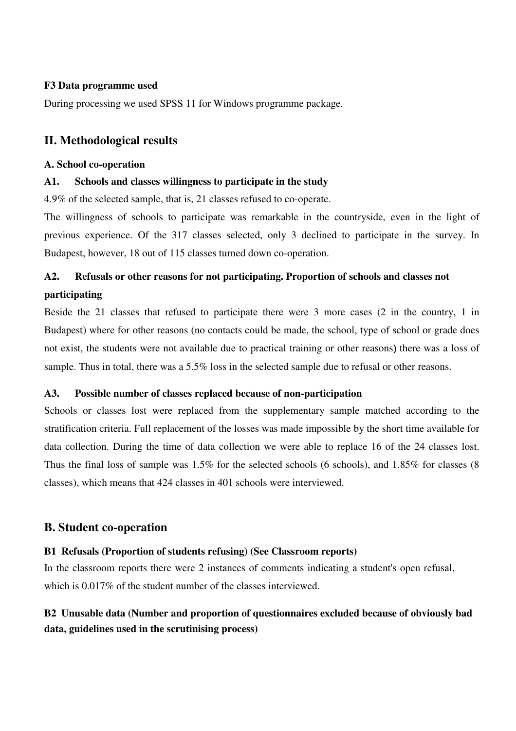## **F3 Data programme used**

During processing we used SPSS 11 for Windows programme package.

## **II. Methodological results**

#### **A. School co-operation**

#### **A1. Schools and classes willingness to participate in the study**

4.9% of the selected sample, that is, 21 classes refused to co-operate.

The willingness of schools to participate was remarkable in the countryside, even in the light of previous experience. Of the 317 classes selected, only 3 declined to participate in the survey. In Budapest, however, 18 out of 115 classes turned down co-operation.

# **A2. Refusals or other reasons for not participating. Proportion of schools and classes not participating**

Beside the 21 classes that refused to participate there were 3 more cases (2 in the country, 1 in Budapest) where for other reasons (no contacts could be made, the school, type of school or grade does not exist, the students were not available due to practical training or other reasons) there was a loss of sample. Thus in total, there was a 5.5% loss in the selected sample due to refusal or other reasons.

## **A3. Possible number of classes replaced because of non-participation**

Schools or classes lost were replaced from the supplementary sample matched according to the stratification criteria. Full replacement of the losses was made impossible by the short time available for data collection. During the time of data collection we were able to replace 16 of the 24 classes lost. Thus the final loss of sample was 1.5% for the selected schools (6 schools), and 1.85% for classes (8 classes), which means that 424 classes in 401 schools were interviewed.

## **B. Student co-operation**

## **B1 Refusals (Proportion of students refusing) (See Classroom reports)**

In the classroom reports there were 2 instances of comments indicating a student's open refusal, which is 0.017\% of the student number of the classes interviewed.

## **B2 Unusable data (Number and proportion of questionnaires excluded because of obviously bad data, guidelines used in the scrutinising process)**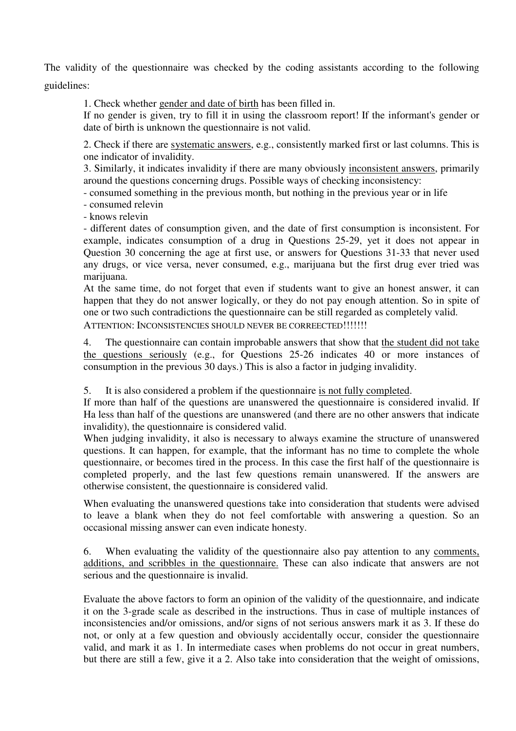The validity of the questionnaire was checked by the coding assistants according to the following guidelines:

1. Check whether gender and date of birth has been filled in.

If no gender is given, try to fill it in using the classroom report! If the informant's gender or date of birth is unknown the questionnaire is not valid.

2. Check if there are systematic answers, e.g., consistently marked first or last columns. This is one indicator of invalidity.

3. Similarly, it indicates invalidity if there are many obviously inconsistent answers, primarily around the questions concerning drugs. Possible ways of checking inconsistency:

- consumed something in the previous month, but nothing in the previous year or in life

- consumed relevin

- knows relevin

- different dates of consumption given, and the date of first consumption is inconsistent. For example, indicates consumption of a drug in Questions 25-29, yet it does not appear in Question 30 concerning the age at first use, or answers for Questions 31-33 that never used any drugs, or vice versa, never consumed, e.g., marijuana but the first drug ever tried was marijuana.

At the same time, do not forget that even if students want to give an honest answer, it can happen that they do not answer logically, or they do not pay enough attention. So in spite of one or two such contradictions the questionnaire can be still regarded as completely valid.

ATTENTION: INCONSISTENCIES SHOULD NEVER BE CORREECTED!!!!!!!

4. The questionnaire can contain improbable answers that show that the student did not take the questions seriously (e.g., for Questions 25-26 indicates 40 or more instances of consumption in the previous 30 days.) This is also a factor in judging invalidity.

5. It is also considered a problem if the questionnaire is not fully completed.

If more than half of the questions are unanswered the questionnaire is considered invalid. If Ha less than half of the questions are unanswered (and there are no other answers that indicate invalidity), the questionnaire is considered valid.

When judging invalidity, it also is necessary to always examine the structure of unanswered questions. It can happen, for example, that the informant has no time to complete the whole questionnaire, or becomes tired in the process. In this case the first half of the questionnaire is completed properly, and the last few questions remain unanswered. If the answers are otherwise consistent, the questionnaire is considered valid.

When evaluating the unanswered questions take into consideration that students were advised to leave a blank when they do not feel comfortable with answering a question. So an occasional missing answer can even indicate honesty.

6. When evaluating the validity of the questionnaire also pay attention to any comments, additions, and scribbles in the questionnaire. These can also indicate that answers are not serious and the questionnaire is invalid.

Evaluate the above factors to form an opinion of the validity of the questionnaire, and indicate it on the 3-grade scale as described in the instructions. Thus in case of multiple instances of inconsistencies and/or omissions, and/or signs of not serious answers mark it as 3. If these do not, or only at a few question and obviously accidentally occur, consider the questionnaire valid, and mark it as 1. In intermediate cases when problems do not occur in great numbers, but there are still a few, give it a 2. Also take into consideration that the weight of omissions,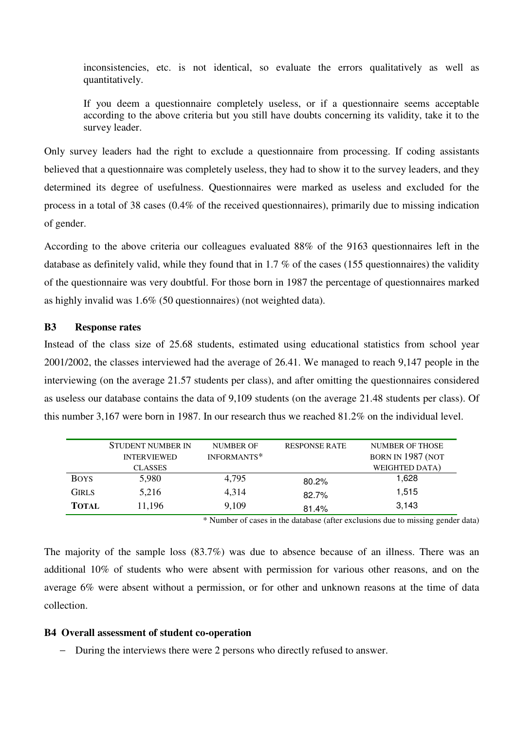inconsistencies, etc. is not identical, so evaluate the errors qualitatively as well as quantitatively.

If you deem a questionnaire completely useless, or if a questionnaire seems acceptable according to the above criteria but you still have doubts concerning its validity, take it to the survey leader.

Only survey leaders had the right to exclude a questionnaire from processing. If coding assistants believed that a questionnaire was completely useless, they had to show it to the survey leaders, and they determined its degree of usefulness. Questionnaires were marked as useless and excluded for the process in a total of 38 cases (0.4% of the received questionnaires), primarily due to missing indication of gender.

According to the above criteria our colleagues evaluated 88% of the 9163 questionnaires left in the database as definitely valid, while they found that in 1.7 % of the cases (155 questionnaires) the validity of the questionnaire was very doubtful. For those born in 1987 the percentage of questionnaires marked as highly invalid was 1.6% (50 questionnaires) (not weighted data).

#### **B3 Response rates**

Instead of the class size of 25.68 students, estimated using educational statistics from school year 2001/2002, the classes interviewed had the average of 26.41. We managed to reach 9,147 people in the interviewing (on the average 21.57 students per class), and after omitting the questionnaires considered as useless our database contains the data of 9,109 students (on the average 21.48 students per class). Of this number 3,167 were born in 1987. In our research thus we reached 81.2% on the individual level.

|              | <b>STUDENT NUMBER IN</b><br><b>INTERVIEWED</b> | <b>NUMBER OF</b><br>INFORMANTS* | <b>RESPONSE RATE</b>    | <b>NUMBER OF THOSE</b><br>BORN IN 1987 (NOT |
|--------------|------------------------------------------------|---------------------------------|-------------------------|---------------------------------------------|
|              | <b>CLASSES</b>                                 |                                 |                         | WEIGHTED DATA)                              |
| <b>BOYS</b>  | 5,980                                          | 4,795                           |                         | 1.628                                       |
| <b>GIRLS</b> | 5,216                                          | 4,314                           |                         | 1,515                                       |
| <b>TOTAL</b> | 11,196                                         | 9,109                           |                         | 3,143                                       |
|              |                                                |                                 | 80.2%<br>82.7%<br>81.4% |                                             |

\* Number of cases in the database (after exclusions due to missing gender data)

The majority of the sample loss (83.7%) was due to absence because of an illness. There was an additional 10% of students who were absent with permission for various other reasons, and on the average 6% were absent without a permission, or for other and unknown reasons at the time of data collection.

#### **B4 Overall assessment of student co-operation**

− During the interviews there were 2 persons who directly refused to answer.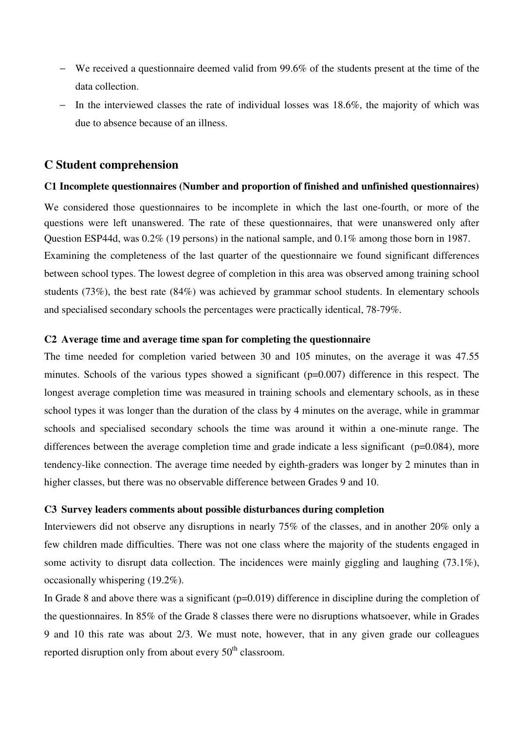- − We received a questionnaire deemed valid from 99.6% of the students present at the time of the data collection.
- In the interviewed classes the rate of individual losses was 18.6%, the majority of which was due to absence because of an illness.

## **C Student comprehension**

#### **C1 Incomplete questionnaires (Number and proportion of finished and unfinished questionnaires)**

We considered those questionnaires to be incomplete in which the last one-fourth, or more of the questions were left unanswered. The rate of these questionnaires, that were unanswered only after Question ESP44d, was 0.2% (19 persons) in the national sample, and 0.1% among those born in 1987. Examining the completeness of the last quarter of the questionnaire we found significant differences between school types. The lowest degree of completion in this area was observed among training school students (73%), the best rate (84%) was achieved by grammar school students. In elementary schools and specialised secondary schools the percentages were practically identical, 78-79%.

## **C2 Average time and average time span for completing the questionnaire**

The time needed for completion varied between 30 and 105 minutes, on the average it was 47.55 minutes. Schools of the various types showed a significant (p=0.007) difference in this respect. The longest average completion time was measured in training schools and elementary schools, as in these school types it was longer than the duration of the class by 4 minutes on the average, while in grammar schools and specialised secondary schools the time was around it within a one-minute range. The differences between the average completion time and grade indicate a less significant ( $p=0.084$ ), more tendency-like connection. The average time needed by eighth-graders was longer by 2 minutes than in higher classes, but there was no observable difference between Grades 9 and 10.

#### **C3 Survey leaders comments about possible disturbances during completion**

Interviewers did not observe any disruptions in nearly 75% of the classes, and in another 20% only a few children made difficulties. There was not one class where the majority of the students engaged in some activity to disrupt data collection. The incidences were mainly giggling and laughing (73.1%), occasionally whispering (19.2%).

In Grade 8 and above there was a significant (p=0.019) difference in discipline during the completion of the questionnaires. In 85% of the Grade 8 classes there were no disruptions whatsoever, while in Grades 9 and 10 this rate was about 2/3. We must note, however, that in any given grade our colleagues reported disruption only from about every  $50<sup>th</sup>$  classroom.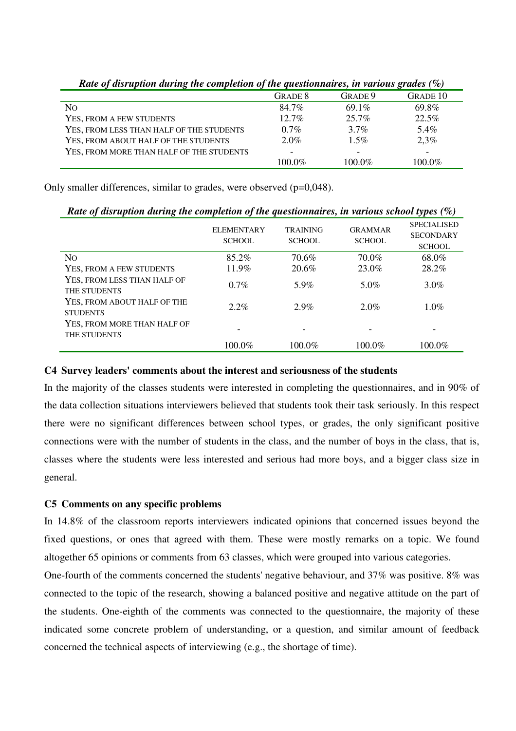| Tune of was aprofit and the completion of the questionnal cs, in furtous grades (70) |           |          |                 |
|--------------------------------------------------------------------------------------|-----------|----------|-----------------|
|                                                                                      | GRADE 8   | GRADE 9  | <b>GRADE 10</b> |
| N <sub>O</sub>                                                                       | 84.7%     | $69.1\%$ | 69.8%           |
| YES, FROM A FEW STUDENTS                                                             | $12.7\%$  | $25.7\%$ | 22.5%           |
| YES, FROM LESS THAN HALF OF THE STUDENTS                                             | $0.7\%$   | $3.7\%$  | 5.4%            |
| YES, FROM ABOUT HALF OF THE STUDENTS                                                 | $2.0\%$   | $1.5\%$  | 2,3%            |
| YES, FROM MORE THAN HALF OF THE STUDENTS                                             |           |          |                 |
|                                                                                      | $100.0\%$ | 100.0%   | 100.0%          |

*Rate of disruption during the completion of the questionnaires, in various grades (%)* 

Only smaller differences, similar to grades, were observed (p=0,048).

| Rate of disruption during the completion of the questionnaires, in various school types $(\%)$ |                                    |                                  |                                 |                                                         |  |  |
|------------------------------------------------------------------------------------------------|------------------------------------|----------------------------------|---------------------------------|---------------------------------------------------------|--|--|
|                                                                                                | <b>ELEMENTARY</b><br><b>SCHOOL</b> | <b>TRAINING</b><br><b>SCHOOL</b> | <b>GRAMMAR</b><br><b>SCHOOL</b> | <b>SPECIALISED</b><br><b>SECONDARY</b><br><b>SCHOOL</b> |  |  |
| N <sub>O</sub>                                                                                 | $85.2\%$                           | 70.6%                            | 70.0%                           | 68.0%                                                   |  |  |
| YES, FROM A FEW STUDENTS                                                                       | 11.9%                              | 20.6%                            | 23.0%                           | 28.2%                                                   |  |  |
| YES, FROM LESS THAN HALF OF<br><b>THE STUDENTS</b>                                             | $0.7\%$                            | 5.9%                             | 5.0%                            | $3.0\%$                                                 |  |  |
| YES. FROM ABOUT HALF OF THE<br><b>STUDENTS</b>                                                 | $2.2\%$                            | $2.9\%$                          | 2.0%                            | $1.0\%$                                                 |  |  |
| YES, FROM MORE THAN HALF OF<br>THE STUDENTS                                                    |                                    |                                  |                                 |                                                         |  |  |
|                                                                                                | 100.0%                             | 100.0%                           | $100.0\%$                       | 100.0%                                                  |  |  |

## **C4 Survey leaders' comments about the interest and seriousness of the students**

In the majority of the classes students were interested in completing the questionnaires, and in 90% of the data collection situations interviewers believed that students took their task seriously. In this respect there were no significant differences between school types, or grades, the only significant positive connections were with the number of students in the class, and the number of boys in the class, that is, classes where the students were less interested and serious had more boys, and a bigger class size in general.

## **C5 Comments on any specific problems**

In 14.8% of the classroom reports interviewers indicated opinions that concerned issues beyond the fixed questions, or ones that agreed with them. These were mostly remarks on a topic. We found altogether 65 opinions or comments from 63 classes, which were grouped into various categories.

One-fourth of the comments concerned the students' negative behaviour, and 37% was positive. 8% was connected to the topic of the research, showing a balanced positive and negative attitude on the part of the students. One-eighth of the comments was connected to the questionnaire, the majority of these indicated some concrete problem of understanding, or a question, and similar amount of feedback concerned the technical aspects of interviewing (e.g., the shortage of time).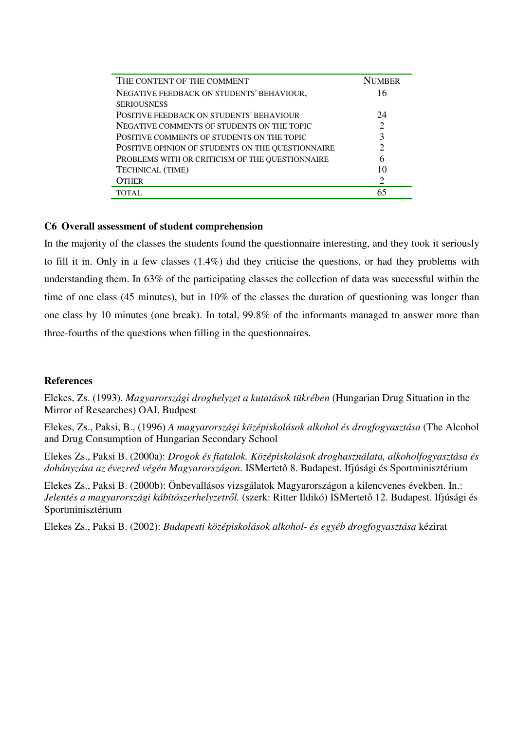| THE CONTENT OF THE COMMENT                        | <b>NUMBER</b> |
|---------------------------------------------------|---------------|
| NEGATIVE FEEDBACK ON STUDENTS' BEHAVIOUR,         | 16            |
| <b>SERIOUSNESS</b>                                |               |
| POSITIVE FEEDBACK ON STUDENTS' BEHAVIOUR          | 24            |
| NEGATIVE COMMENTS OF STUDENTS ON THE TOPIC        |               |
| POSITIVE COMMENTS OF STUDENTS ON THE TOPIC        |               |
| POSITIVE OPINION OF STUDENTS ON THE QUESTIONNAIRE |               |
| PROBLEMS WITH OR CRITICISM OF THE QUESTIONNAIRE   |               |
| TECHNICAL (TIME)                                  |               |
| OTHER                                             | 2             |
| <b>TOTAL</b>                                      |               |

## **C6 Overall assessment of student comprehension**

In the majority of the classes the students found the questionnaire interesting, and they took it seriously to fill it in. Only in a few classes (1.4%) did they criticise the questions, or had they problems with understanding them. In 63% of the participating classes the collection of data was successful within the time of one class (45 minutes), but in 10% of the classes the duration of questioning was longer than one class by 10 minutes (one break). In total, 99.8% of the informants managed to answer more than three-fourths of the questions when filling in the questionnaires.

## **References**

Elekes, Zs. (1993). *Magyarországi droghelyzet a kutatások tükrében* (Hungarian Drug Situation in the Mirror of Researches) OAI, Budpest

Elekes, Zs., Paksi, B., (1996) *A magyarországi középiskolások alkohol és drogfogyasztása* (The Alcohol and Drug Consumption of Hungarian Secondary School

Elekes Zs., Paksi B. (2000a): *Drogok és fiatalok. Középiskolások droghasználata, alkoholfogyasztása és dohányzása az évezred végén Magyarországon*. ISMertető 8. Budapest. Ifjúsági és Sportminisztérium

Elekes Zs., Paksi B. (2000b): Önbevallásos vizsgálatok Magyarországon a kilencvenes években. In.: *Jelentés a magyarországi kábítószerhelyzetr*ő*l.* (szerk: Ritter Ildikó) ISMertető 12. Budapest. Ifjúsági és Sportminisztérium

Elekes Zs., Paksi B. (2002): *Budapesti középiskolások alkohol- és egyéb drogfogyasztása* kézirat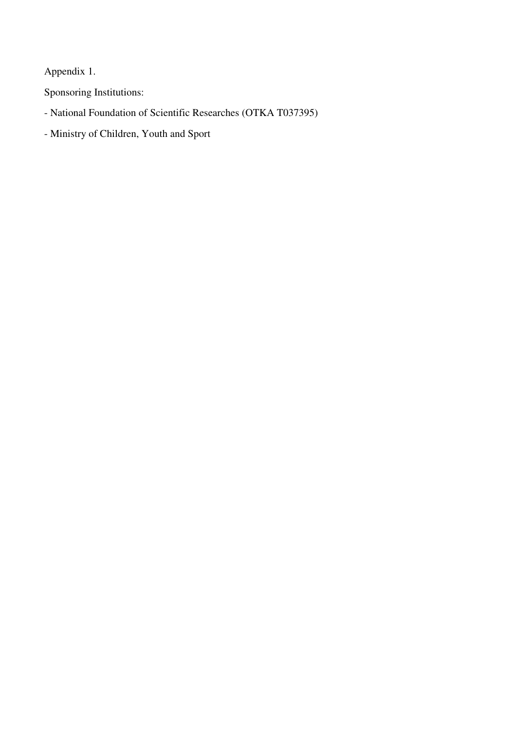Appendix 1.

Sponsoring Institutions:

- National Foundation of Scientific Researches (OTKA T037395)
- Ministry of Children, Youth and Sport